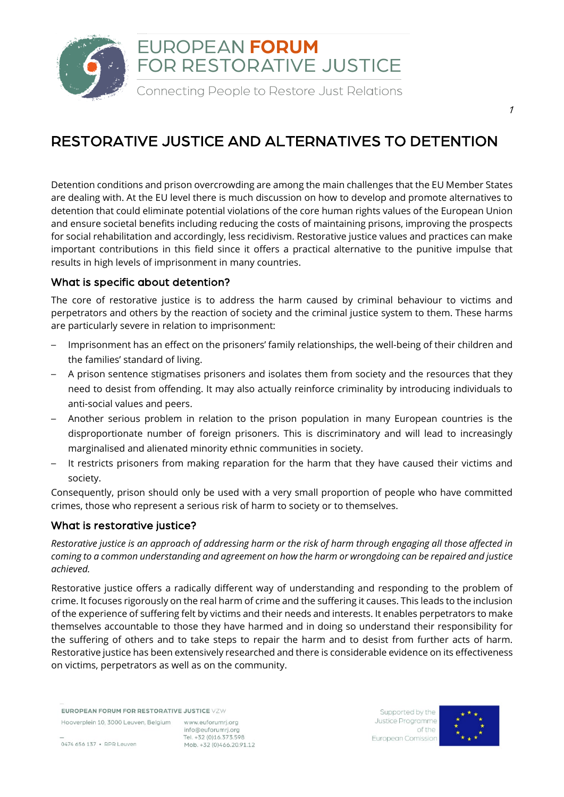

## RESTORATIVE JUSTICE AND ALTERNATIVES TO DETENTION

Detention conditions and prison overcrowding are among the main challenges that the EU Member States are dealing with. At the EU level there is much discussion on how to develop and promote alternatives to detention that could eliminate potential violations of the core human rights values of the European Union and ensure societal benefits including reducing the costs of maintaining prisons, improving the prospects for social rehabilitation and accordingly, less recidivism. Restorative justice values and practices can make important contributions in this field since it offers a practical alternative to the punitive impulse that results in high levels of imprisonment in many countries.

## What is specific about detention?

The core of restorative justice is to address the harm caused by criminal behaviour to victims and perpetrators and others by the reaction of society and the criminal justice system to them. These harms are particularly severe in relation to imprisonment:

- Imprisonment has an effect on the prisoners' family relationships, the well-being of their children and the families' standard of living.
- A prison sentence stigmatises prisoners and isolates them from society and the resources that they need to desist from offending. It may also actually reinforce criminality by introducing individuals to anti-social values and peers.
- Another serious problem in relation to the prison population in many European countries is the disproportionate number of foreign prisoners. This is discriminatory and will lead to increasingly marginalised and alienated minority ethnic communities in society.
- It restricts prisoners from making reparation for the harm that they have caused their victims and society.

Consequently, prison should only be used with a very small proportion of people who have committed crimes, those who represent a serious risk of harm to society or to themselves.

## What is restorative justice?

Restorative justice is an approach of addressing harm or the risk of harm through engaging all those affected in coming to a common understanding and agreement on how the harm or wrongdoing can be repaired and justice *achieved.*

Restorative justice offers a radically different way of understanding and responding to the problem of crime. It focuses rigorously on the real harm of crime and the suffering it causes. This leads to the inclusion of the experience of suffering felt by victims and their needs and interests. It enables perpetrators to make themselves accountable to those they have harmed and in doing so understand their responsibility for the suffering of others and to take steps to repair the harm and to desist from further acts of harm. Restorative justice has been extensively researched and there is considerable evidence on its effectiveness on victims, perpetrators as well as on the community.

EUROPEAN FORUM FOR RESTORATIVE JUSTICE VZW

Hooverplein 10, 3000 Leuven, Belgium www.euforumrj.org info@euforumrj.org Tel. +32 (0)16 373 598 Mob. +32 (0)466.20.91.12

Supported by the Justice Programme of the European Comission



1

0474 656 137 · RPR Leuven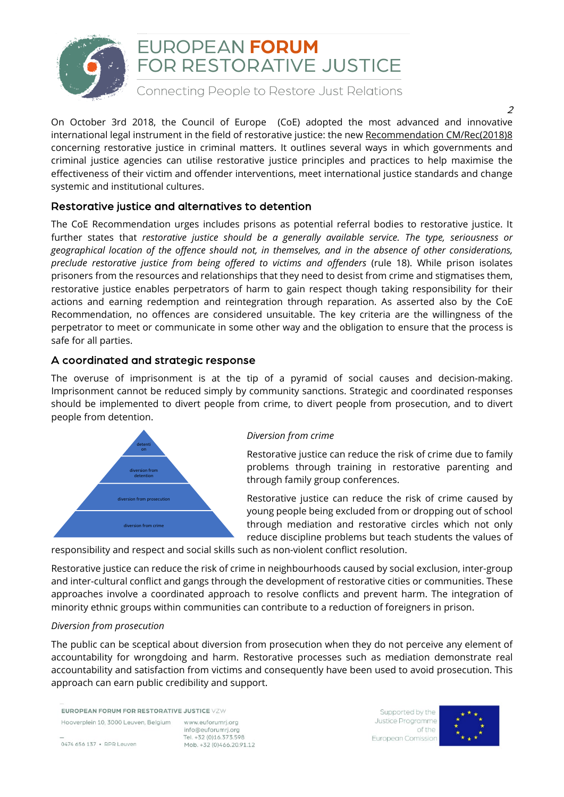

## EUROPEAN FORUM FOR RESTORATIVE JUSTICE

Connecting People to Restore Just Relations

On October 3rd 2018, the Council of Europe (CoE) adopted the most advanced and innovative international legal instrument in the field of restorative justice: the new [Recommendation](https://www.coe.int/en/web/prison/home/-/asset_publisher/ky2olXXXogcx/content/recommendation-cm-rec-2018-8) CM/Rec(2018)8 concerning restorative justice in criminal matters. It outlines several ways in which governments and criminal justice agencies can utilise restorative justice principles and practices to help maximise the effectiveness of their victim and offender interventions, meet international justice standards and change systemic and institutional cultures.

## Restorative justice and alternatives to detention

The CoE Recommendation urges includes prisons as potential referral bodies to restorative justice. It further states that *restorative justice should be a generally available service. The type, seriousness or geographical location of the offence should not, in themselves, and in the absence of other considerations, preclude restorative justice from being offered to victims and offenders* (rule 18). While prison isolates prisoners from the resources and relationships that they need to desist from crime and stigmatises them, restorative justice enables perpetrators of harm to gain respect though taking responsibility for their actions and earning redemption and reintegration through reparation. As asserted also by the CoE Recommendation, no offences are considered unsuitable. The key criteria are the willingness of the perpetrator to meet or communicate in some other way and the obligation to ensure that the process is safe for all parties.

## A coordinated and strategic response

The overuse of imprisonment is at the tip of a pyramid of social causes and decision-making. Imprisonment cannot be reduced simply by community sanctions. Strategic and coordinated responses should be implemented to divert people from crime, to divert people from prosecution, and to divert people from detention.



#### *Diversion from crime*

Restorative justice can reduce the risk of crime due to family problems through training in restorative parenting and through family group conferences.

Restorative justice can reduce the risk of crime caused by young people being excluded from or dropping out of school through mediation and restorative circles which not only reduce discipline problems but teach students the values of

responsibility and respect and social skills such as non-violent conflict resolution.

Restorative justice can reduce the risk of crime in neighbourhoods caused by social exclusion, inter-group and inter-cultural conflict and gangs through the development of restorative cities or communities. These approaches involve a coordinated approach to resolve conflicts and prevent harm. The integration of minority ethnic groups within communities can contribute to a reduction of foreigners in prison.

#### *Diversion from prosecution*

The public can be sceptical about diversion from prosecution when they do not perceive any element of accountability for wrongdoing and harm. Restorative processes such as mediation demonstrate real accountability and satisfaction from victims and consequently have been used to avoid prosecution. This approach can earn public credibility and support.

EUROPEAN FORUM FOR RESTORATIVE JUSTICE VZW

www.euforumrj.org info@euforumrj.org Tel. +32 (0)16 373 598 Mob. +32 (0)466.20.91.12

Supported by the Justice Programme of the European Comission



 $\overline{2}$ 

0474 656 137 · RPR Leuven

Hooverplein 10, 3000 Leuven, Belgium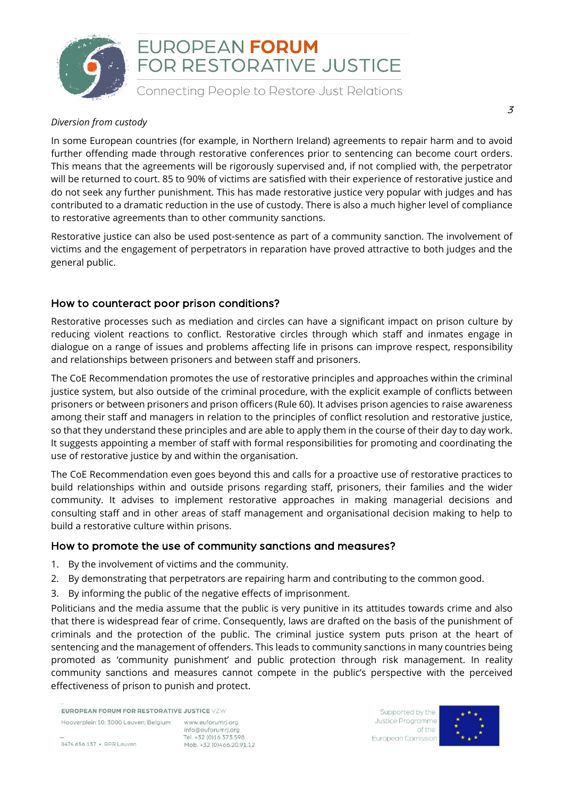

## EUROPEAN FORUM FOR RESTORATIVE JUSTICE

Connecting People to Restore Just Relations

#### *Diversion from custody*

In some European countries (for example, in Northern Ireland) agreements to repair harm and to avoid further offending made through restorative conferences prior to sentencing can become court orders. This means that the agreements will be rigorously supervised and, if not complied with, the perpetrator will be returned to court. 85 to 90% of victims are satisfied with their experience of restorative justice and do not seek any further punishment. This has made restorative justice very popular with judges and has contributed to a dramatic reduction in the use of custody. There is also a much higher level of compliance to restorative agreements than to other community sanctions.

Restorative justice can also be used post-sentence as part of a community sanction. The involvement of victims and the engagement of perpetrators in reparation have proved attractive to both judges and the general public.

## How to counteract poor prison conditions?

Restorative processes such as mediation and circles can have a significant impact on prison culture by reducing violent reactions to conflict. Restorative circles through which staff and inmates engage in dialogue on a range of issues and problems affecting life in prisons can improve respect, responsibility and relationships between prisoners and between staff and prisoners.

The CoE Recommendation promotes the use of restorative principles and approaches within the criminal justice system, but also outside of the criminal procedure, with the explicit example of conflicts between prisoners or between prisoners and prison officers (Rule 60). It advises prison agencies to raise awareness among their staff and managers in relation to the principles of conflict resolution and restorative justice, so that they understand these principles and are able to apply them in the course of their day to day work. It suggests appointing a member of staff with formal responsibilities for promoting and coordinating the use of restorative justice by and within the organisation.

The CoE Recommendation even goes beyond this and calls for a proactive use of restorative practices to build relationships within and outside prisons regarding staff, prisoners, their families and the wider community. It advises to implement restorative approaches in making managerial decisions and consulting staff and in other areas of staff management and organisational decision making to help to build a restorative culture within prisons.

## How to promote the use of community sanctions and measures?

- 1. By the involvement of victims and the community.
- 2. By demonstrating that perpetrators are repairing harm and contributing to the common good.
- 3. By informing the public of the negative effects of imprisonment.

Politicians and the media assume that the public is very punitive in its attitudes towards crime and also that there is widespread fear of crime. Consequently, laws are drafted on the basis of the punishment of criminals and the protection of the public. The criminal justice system puts prison at the heart of sentencing and the management of offenders. This leads to community sanctions in many countries being promoted as 'community punishment' and public protection through risk management. In reality community sanctions and measures cannot compete in the public's perspective with the perceived effectiveness of prison to punish and protect.

EUROPEAN FORUM FOR RESTORATIVE JUSTICE VZW

Hooverplein 10, 3000 Leuven, Belgium www.euforumrj.org info@euforumrj.org Tel. +32 (0)16 373 598 Mob. +32 (0)466.20.91.12

Supported by the Justice Programme of the European Comission



3

0474 656 137 · RPR Leuven